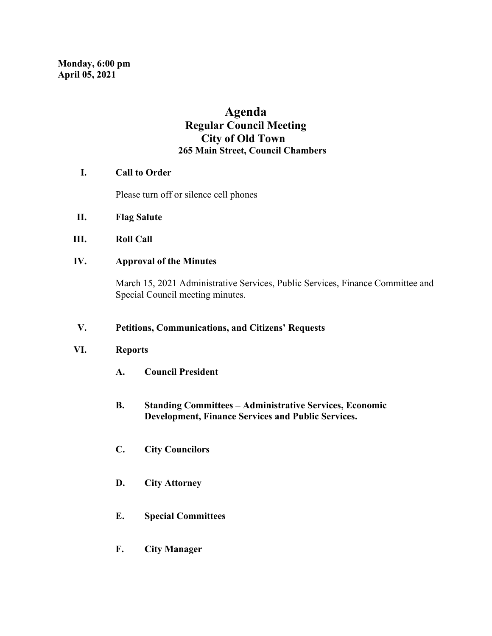# **Agenda Regular Council Meeting City of Old Town 265 Main Street, Council Chambers**

# **I. Call to Order**

Please turn off or silence cell phones

- **II. Flag Salute**
- **III. Roll Call**
- **IV. Approval of the Minutes**

March 15, 2021 Administrative Services, Public Services, Finance Committee and Special Council meeting minutes.

### **V. Petitions, Communications, and Citizens' Requests**

### **VI. Reports**

- **A. Council President**
- **B. Standing Committees – Administrative Services, Economic Development, Finance Services and Public Services.**
- **C. City Councilors**
- **D. City Attorney**
- **E. Special Committees**
- **F. City Manager**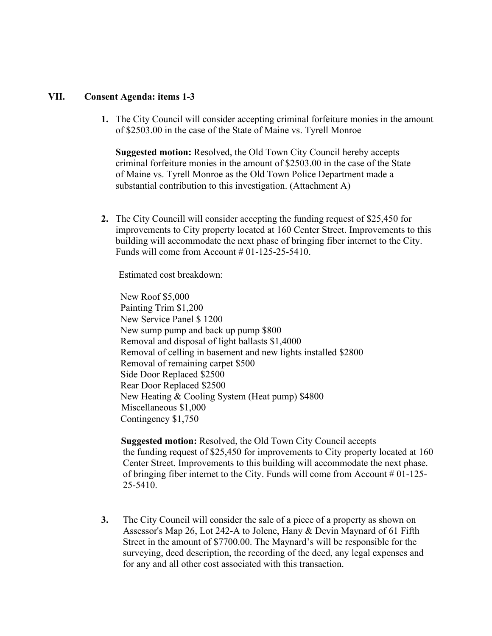### **VII. Consent Agenda: items 1-3**

**1.** The City Council will consider accepting criminal forfeiture monies in the amount of \$2503.00 in the case of the State of Maine vs. Tyrell Monroe

 **Suggested motion:** Resolved, the Old Town City Council hereby accepts criminal forfeiture monies in the amount of \$2503.00 in the case of the State of Maine vs. Tyrell Monroe as the Old Town Police Department made a substantial contribution to this investigation. (Attachment A)

**2.** The City Councill will consider accepting the funding request of \$25,450 for improvements to City property located at 160 Center Street. Improvements to this building will accommodate the next phase of bringing fiber internet to the City. Funds will come from Account  $#01-125-25-5410$ .

Estimated cost breakdown:

 New Roof \$5,000 Painting Trim \$1,200 New Service Panel \$ 1200 New sump pump and back up pump \$800 Removal and disposal of light ballasts \$1,4000 Removal of celling in basement and new lights installed \$2800 Removal of remaining carpet \$500 Side Door Replaced \$2500 Rear Door Replaced \$2500 New Heating & Cooling System (Heat pump) \$4800 Miscellaneous \$1,000 Contingency \$1,750

 **Suggested motion:** Resolved, the Old Town City Council accepts the funding request of \$25,450 for improvements to City property located at 160 Center Street. Improvements to this building will accommodate the next phase. of bringing fiber internet to the City. Funds will come from Account # 01-125- 25-5410.

**3.** The City Council will consider the sale of a piece of a property as shown on Assessor's Map 26, Lot 242-A to Jolene, Hany & Devin Maynard of 61 Fifth Street in the amount of \$7700.00. The Maynard's will be responsible for the surveying, deed description, the recording of the deed, any legal expenses and for any and all other cost associated with this transaction.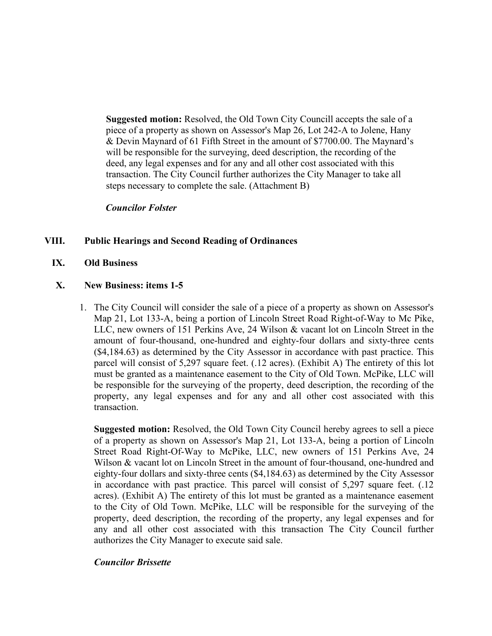**Suggested motion:** Resolved, the Old Town City Councill accepts the sale of a piece of a property as shown on Assessor's Map 26, Lot 242-A to Jolene, Hany & Devin Maynard of 61 Fifth Street in the amount of \$7700.00. The Maynard's will be responsible for the surveying, deed description, the recording of the deed, any legal expenses and for any and all other cost associated with this transaction. The City Council further authorizes the City Manager to take all steps necessary to complete the sale. (Attachment B)

### *Councilor Folster*

# **VIII. Public Hearings and Second Reading of Ordinances**

**IX. Old Business**

#### **X. New Business: items 1-5**

1. The City Council will consider the sale of a piece of a property as shown on Assessor's Map 21, Lot 133-A, being a portion of Lincoln Street Road Right-of-Way to Mc Pike, LLC, new owners of 151 Perkins Ave, 24 Wilson & vacant lot on Lincoln Street in the amount of four-thousand, one-hundred and eighty-four dollars and sixty-three cents (\$4,184.63) as determined by the City Assessor in accordance with past practice. This parcel will consist of 5,297 square feet. (.12 acres). (Exhibit A) The entirety of this lot must be granted as a maintenance easement to the City of Old Town. McPike, LLC will be responsible for the surveying of the property, deed description, the recording of the property, any legal expenses and for any and all other cost associated with this transaction.

**Suggested motion:** Resolved, the Old Town City Council hereby agrees to sell a piece of a property as shown on Assessor's Map 21, Lot 133-A, being a portion of Lincoln Street Road Right-Of-Way to McPike, LLC, new owners of 151 Perkins Ave, 24 Wilson & vacant lot on Lincoln Street in the amount of four-thousand, one-hundred and eighty-four dollars and sixty-three cents (\$4,184.63) as determined by the City Assessor in accordance with past practice. This parcel will consist of 5,297 square feet. (.12 acres). (Exhibit A) The entirety of this lot must be granted as a maintenance easement to the City of Old Town. McPike, LLC will be responsible for the surveying of the property, deed description, the recording of the property, any legal expenses and for any and all other cost associated with this transaction The City Council further authorizes the City Manager to execute said sale.

#### *Councilor Brissette*